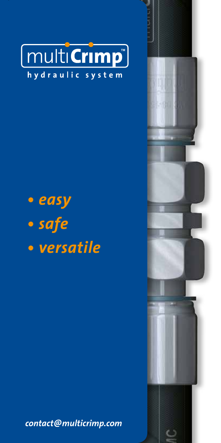

*• easy • safe • versatile*

*contact@multicrimp.com*

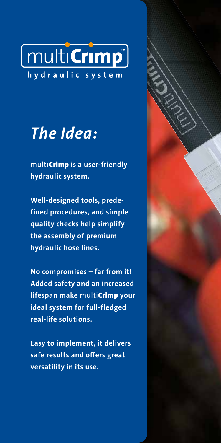

### *The Idea:*

multiCrimp is a user-friendly hydraulic system.

Well-designed tools, predefined procedures, and simple quality checks help simplify the assembly of premium hydraulic hose lines.

No compromises – far from it! Added safety and an increased lifespan make multiCrimp your ideal system for full-fledged real-life solutions.

Easy to implement, it delivers safe results and offers great versatility in its use.

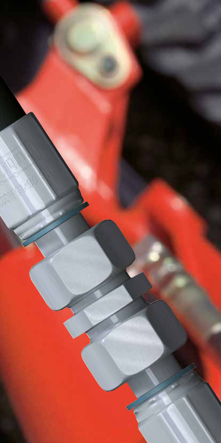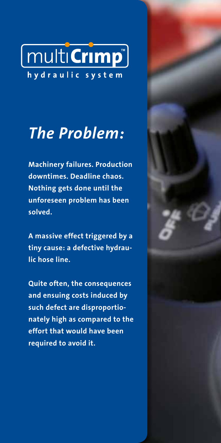

## *The Problem:*

Machinery failures. Production downtimes. Deadline chaos. Nothing gets done until the unforeseen problem has been solved.

A massive effect triggered by a tiny cause: a defective hydraulic hose line.

Quite often, the consequences and ensuing costs induced by such defect are disproportionately high as compared to the effort that would have been required to avoid it.

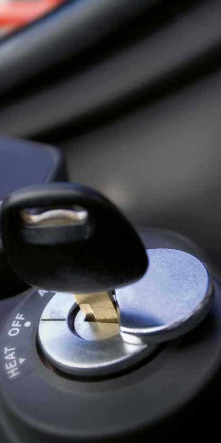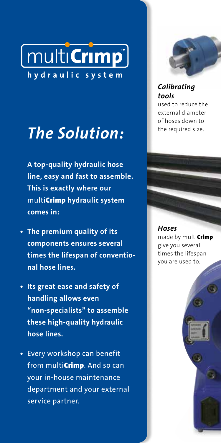### multiCrimp<sup>®</sup> hydraulic system

# *The Solution:*

A top-quality hydraulic hose line, easy and fast to assemble. This is exactly where our multiCrimp hydraulic system comes in:

- The premium quality of its components ensures several times the lifespan of conventional hose lines.
- Its great ease and safety of handling allows even "non-specialists" to assemble these high-quality hydraulic hose lines.
- Every workshop can benefit from multi**Crimp**. And so can your in-house maintenance department and your external service partner.



#### *Calibrating tools*

used to reduce the external diameter of hoses down to the required size.

### *Hoses*

made by multiCrimp give you several times the lifespan you are used to.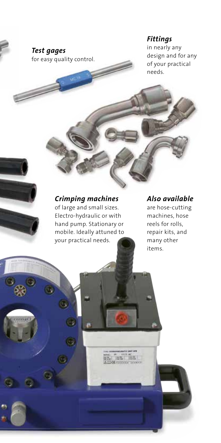*Test gages* for easy quality control.

#### *Fittings*

in nearly any design and for any of your practical needs.

#### *Crimping machines*

of large and small sizes. Electro-hydraulic or with hand pump. Stationary or mobile. Ideally attuned to your practical needs.

#### *Also available*

are hose-cutting machines, hose reels for rolls, repair kits, and many other items.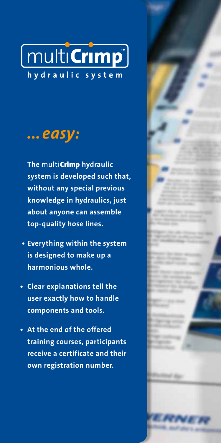### multi**Crimp** hydraulic system

### *... easy:*

The multiCrimp hydraulic system is developed such that, without any special previous knowledge in hydraulics, just about anyone can assemble top-quality hose lines.

- Everything within the system is designed to make up a harmonious whole.
- Clear explanations tell the user exactly how to handle components and tools.
- At the end of the offered training courses, participants receive a certificate and their own registration number.

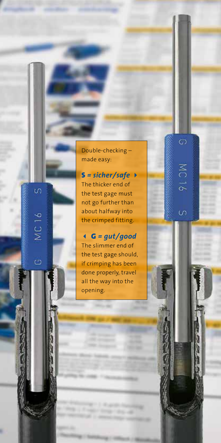Double-checking – made easy:

 $\overline{C}$ 

**MC1** 

ಸ

U

S *= sicher/safe* 4 The thicker end of the test gage must not go further than about halfway into the crimped fitting.

U)

MC<sub>16</sub>

 $\circ$ 

 $\triangleleft$  **G** = gut/good The slimmer end of the test gage should, if crimping has been done properly, travel all the way into the opening.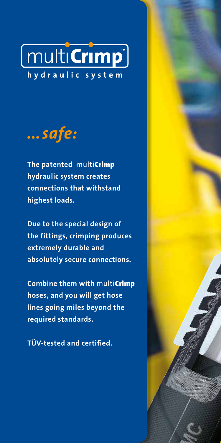

## *... safe:*

The patented multiCrimp hydraulic system creates connections that withstand highest loads.

Due to the special design of the fittings, crimping produces extremely durable and absolutely secure connections.

Combine them with multiCrimp hoses, and you will get hose lines going miles beyond the required standards.

TÜV-tested and certified.

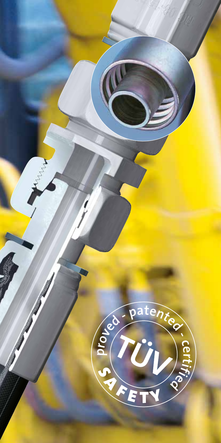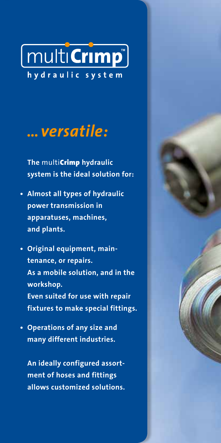

### *… versatile:*

The multiCrimp hydraulic system is the ideal solution for:

- Almost all types of hydraulic power transmission in apparatuses, machines, and plants.
- Original equipment, maintenance, or repairs. As a mobile solution, and in the workshop. Even suited for use with repair fixtures to make special fittings.
- Operations of any size and many different industries.

An ideally configured assortment of hoses and fittings allows customized solutions.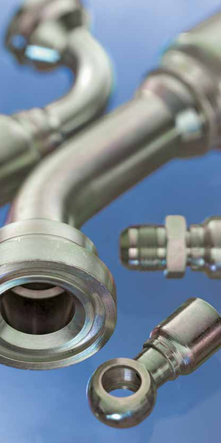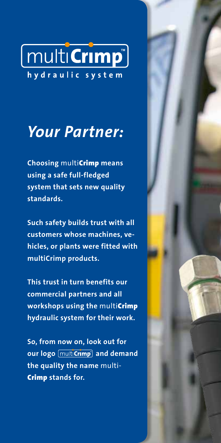

### *Your Partner:*

Choosing multiCrimp means using a safe full-fledged system that sets new quality standards.

Such safety builds trust with all customers whose machines, vehicles, or plants were fitted with multiCrimp products.

This trust in turn benefits our commercial partners and all workshops using the multiCrimp hydraulic system for their work.

So, from now on, look out for our logo [multi**Crimp**] and demand the quality the name multi-Crimp stands for.

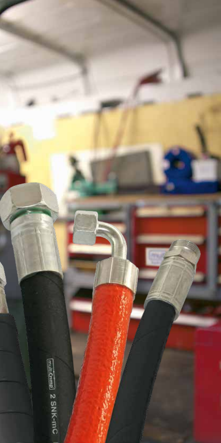